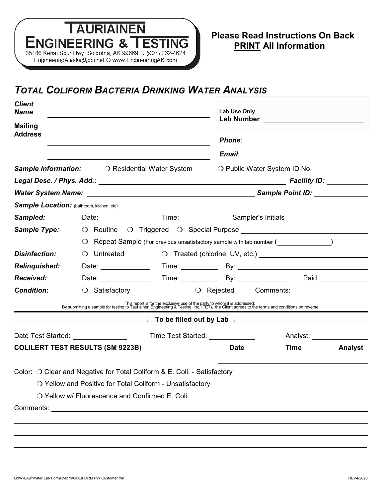# **TAURIAINEN ENGINEERING & TESTING** 35186 Kenai Spur Hwy Soldotna, AK 99669 O (907) 262-4624 EngineeringAlaska@gci.net O www.EngineeringAK.com

# *TOTAL COLIFORM BACTERIA DRINKING WATER ANALYSIS*

| <b>Client</b><br><b>Name</b>                                                 |                                                                                                                                                                                                                             |                                                   | Lab Use Only                 |                      |                |  |
|------------------------------------------------------------------------------|-----------------------------------------------------------------------------------------------------------------------------------------------------------------------------------------------------------------------------|---------------------------------------------------|------------------------------|----------------------|----------------|--|
| <b>Mailing</b><br><b>Address</b>                                             |                                                                                                                                                                                                                             |                                                   |                              |                      |                |  |
|                                                                              |                                                                                                                                                                                                                             |                                                   |                              |                      |                |  |
|                                                                              |                                                                                                                                                                                                                             |                                                   |                              |                      |                |  |
| <b>Sample Information:</b> O Residential Water System                        |                                                                                                                                                                                                                             |                                                   | O Public Water System ID No. |                      |                |  |
|                                                                              |                                                                                                                                                                                                                             |                                                   |                              |                      |                |  |
|                                                                              |                                                                                                                                                                                                                             |                                                   |                              |                      |                |  |
|                                                                              |                                                                                                                                                                                                                             |                                                   |                              |                      |                |  |
| Sampled:                                                                     |                                                                                                                                                                                                                             |                                                   |                              |                      |                |  |
| <b>Sample Type:</b>                                                          |                                                                                                                                                                                                                             |                                                   |                              |                      |                |  |
|                                                                              | $\bigcirc$ Repeat Sample (For previous unsatisfactory sample with lab number ( $\bigcirc$                                                                                                                                   |                                                   |                              |                      |                |  |
| <b>Disinfection:</b>                                                         | O Untreated                                                                                                                                                                                                                 |                                                   |                              |                      |                |  |
| <b>Relinquished:</b>                                                         | Date: ______________                                                                                                                                                                                                        |                                                   |                              |                      |                |  |
| <b>Received:</b>                                                             | Date: $\qquad \qquad$                                                                                                                                                                                                       |                                                   |                              |                      | Paid:          |  |
| <b>Condition:</b>                                                            | $\bigcirc$ Satisfactory                                                                                                                                                                                                     |                                                   |                              | O Rejected Comments: |                |  |
|                                                                              | This report is for the exclusive use of the party to whom it is addressed.<br>By submitting a sample for testing to Tauriainen Engineering & Testing, Inc. (TET), the Client agrees to the terms and conditions on reverse. |                                                   |                              |                      |                |  |
|                                                                              |                                                                                                                                                                                                                             | $\Downarrow$ To be filled out by Lab $\Downarrow$ |                              |                      |                |  |
| Date Test Started: <u>New York Base Base Communist</u><br>Time Test Started: |                                                                                                                                                                                                                             |                                                   |                              | Analyst: __________  |                |  |
| <b>COLILERT TEST RESULTS (SM 9223B)</b>                                      |                                                                                                                                                                                                                             |                                                   | <b>Date</b>                  | <b>Time</b>          | <b>Analyst</b> |  |
|                                                                              | Color: O Clear and Negative for Total Coliform & E. Coli. - Satisfactory                                                                                                                                                    |                                                   |                              |                      |                |  |
|                                                                              | O Yellow and Positive for Total Coliform - Unsatisfactory                                                                                                                                                                   |                                                   |                              |                      |                |  |
|                                                                              | O Yellow w/ Fluorescence and Confirmed E. Coli.                                                                                                                                                                             |                                                   |                              |                      |                |  |
|                                                                              |                                                                                                                                                                                                                             |                                                   |                              |                      |                |  |
|                                                                              |                                                                                                                                                                                                                             |                                                   |                              |                      |                |  |
|                                                                              |                                                                                                                                                                                                                             |                                                   |                              |                      |                |  |
|                                                                              |                                                                                                                                                                                                                             |                                                   |                              |                      |                |  |